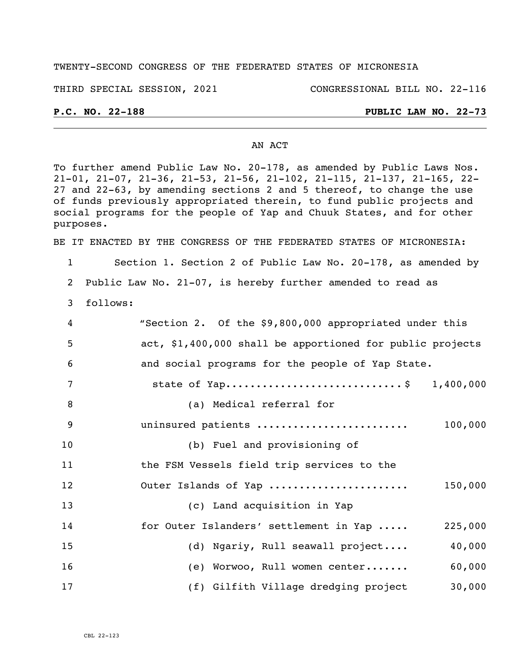#### TWENTY-SECOND CONGRESS OF THE FEDERATED STATES OF MICRONESIA

THIRD SPECIAL SESSION, 2021 CONGRESSIONAL BILL NO. 22-116

# **P.C. NO. 22-188 PUBLIC LAW NO. 22-73**

#### AN ACT

To further amend Public Law No. 20-178, as amended by Public Laws Nos. 21-01, 21-07, 21-36, 21-53, 21-56, 21-102, 21-115, 21-137, 21-165, 22- and 22-63, by amending sections 2 and 5 thereof, to change the use of funds previously appropriated therein, to fund public projects and social programs for the people of Yap and Chuuk States, and for other purposes.

BE IT ENACTED BY THE CONGRESS OF THE FEDERATED STATES OF MICRONESIA:

Section 1. Section 2 of Public Law No. 20-178, as amended by

Public Law No. 21-07, is hereby further amended to read as

follows:

| 4  | "Section 2. Of the \$9,800,000 appropriated under this    |
|----|-----------------------------------------------------------|
| 5  | act, \$1,400,000 shall be apportioned for public projects |
| 6  | and social programs for the people of Yap State.          |
| 7  | state of Yap\$ 1,400,000                                  |
| 8  | (a) Medical referral for                                  |
| 9  | uninsured patients<br>100,000                             |
| 10 | (b) Fuel and provisioning of                              |
| 11 | the FSM Vessels field trip services to the                |
| 12 | Outer Islands of Yap<br>150,000                           |
| 13 | (c) Land acquisition in Yap                               |
| 14 | for Outer Islanders' settlement in Yap<br>225,000         |
| 15 | (d) Ngariy, Rull seawall project<br>40,000                |
| 16 | 60,000<br>(e) Worwoo, Rull women center                   |
| 17 | (f) Gilfith Village dredging project<br>30,000            |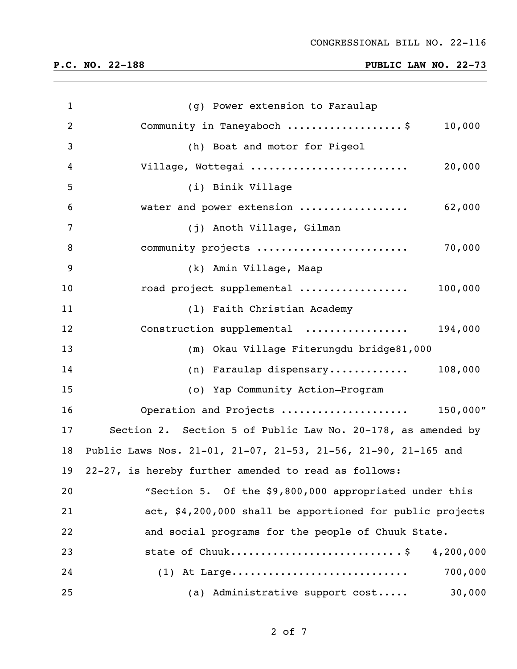| $\mathbf{1}$   | (g) Power extension to Faraulap                                |
|----------------|----------------------------------------------------------------|
| $\overline{2}$ | Community in Taneyaboch \$<br>10,000                           |
| 3              | (h) Boat and motor for Pigeol                                  |
| 4              | Village, Wottegai<br>20,000                                    |
| 5              | (i) Binik Village                                              |
| 6              | water and power extension<br>62,000                            |
| $\overline{7}$ | (j) Anoth Village, Gilman                                      |
| 8              | community projects<br>70,000                                   |
| 9              | (k) Amin Village, Maap                                         |
| 10             | road project supplemental<br>100,000                           |
| 11             | (1) Faith Christian Academy                                    |
| 12             | Construction supplemental<br>194,000                           |
| 13             | (m) Okau Village Fiterungdu bridge81,000                       |
| 14             | (n) Faraulap dispensary<br>108,000                             |
| 15             | (o) Yap Community Action-Program                               |
| 16             | Operation and Projects  150,000"                               |
| 17             | Section 2. Section 5 of Public Law No. 20-178, as amended by   |
| 18             | Public Laws Nos. 21-01, 21-07, 21-53, 21-56, 21-90, 21-165 and |
| 19             | 22-27, is hereby further amended to read as follows:           |
| 20             | "Section 5. Of the \$9,800,000 appropriated under this         |
| 21             | act, \$4,200,000 shall be apportioned for public projects      |
| 22             | and social programs for the people of Chuuk State.             |
| 23             | state of Chuuk<br>4,200,000                                    |
| 24             | 700,000<br>$(1)$ At Large                                      |
| 25             | (a) Administrative support cost<br>30,000                      |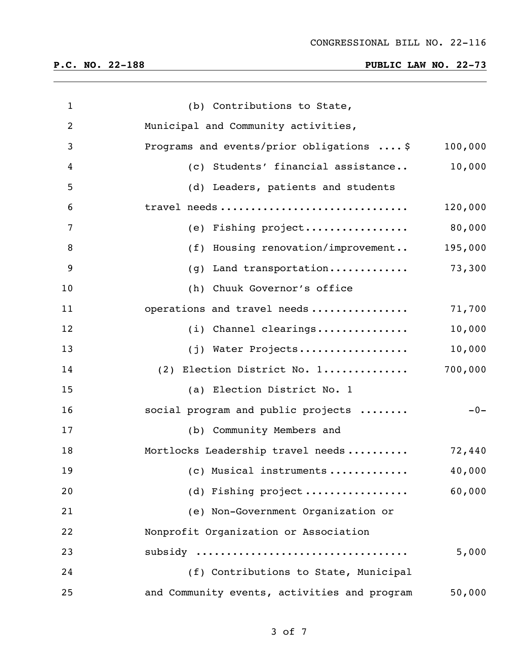| $\mathbf{1}$   | (b) Contributions to State,                           |         |
|----------------|-------------------------------------------------------|---------|
| $\overline{2}$ | Municipal and Community activities,                   |         |
| 3              | Programs and events/prior obligations  \$             | 100,000 |
| 4              | (c) Students' financial assistance                    | 10,000  |
| 5              | (d) Leaders, patients and students                    |         |
| 6              | travel needs                                          | 120,000 |
| 7              | (e) Fishing project                                   | 80,000  |
| 8              | (f) Housing renovation/improvement                    | 195,000 |
| 9              | Land transportation<br>(g)                            | 73,300  |
| 10             | (h) Chuuk Governor's office                           |         |
| 11             | operations and travel needs                           | 71,700  |
| 12             | (i) Channel clearings                                 | 10,000  |
| 13             | (j) Water Projects                                    | 10,000  |
| 14             | (2) Election District No. 1                           | 700,000 |
| 15             | (a) Election District No. 1                           |         |
| 16             | social program and public projects                    | $-0-$   |
| 17             | (b) Community Members and                             |         |
| 18             | Mortlocks Leadership travel needs                     | 72,440  |
| 19             | (c) Musical instruments $\ldots \ldots \ldots \ldots$ | 40,000  |
| 20             | (d) Fishing project                                   | 60,000  |
| 21             | (e) Non-Government Organization or                    |         |
| 22             | Nonprofit Organization or Association                 |         |
| 23             | subsidy                                               | 5,000   |
| 24             | (f) Contributions to State, Municipal                 |         |
| 25             | and Community events, activities and program          | 50,000  |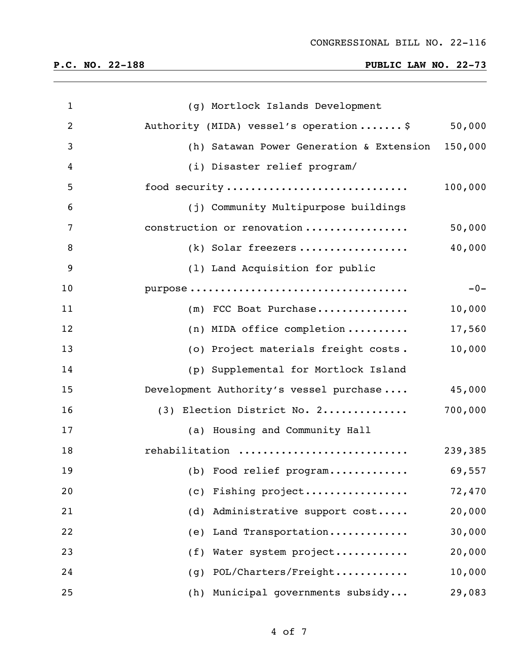| $\mathbf{1}$   | (g) Mortlock Islands Development                 |         |
|----------------|--------------------------------------------------|---------|
| $\overline{2}$ | Authority (MIDA) vessel's operation\$            | 50,000  |
| 3              | (h) Satawan Power Generation & Extension 150,000 |         |
| 4              | (i) Disaster relief program/                     |         |
| 5              | food security                                    | 100,000 |
| 6              | (j) Community Multipurpose buildings             |         |
| 7              | construction or renovation                       | 50,000  |
| 8              | (k) Solar freezers                               | 40,000  |
| 9              | (1) Land Acquisition for public                  |         |
| 10             |                                                  | $-0-$   |
| 11             | (m) FCC Boat Purchase                            | 10,000  |
| 12             | (n) MIDA office completion                       | 17,560  |
| 13             | (o) Project materials freight costs.             | 10,000  |
| 14             | (p) Supplemental for Mortlock Island             |         |
| 15             | Development Authority's vessel purchase          | 45,000  |
| 16             | (3) Election District No. 2                      | 700,000 |
| 17             | (a) Housing and Community Hall                   |         |
| 18             | rehabilitation                                   | 239,385 |
| 19             | (b) Food relief program                          | 69,557  |
| 20             | Fishing project<br>(c)                           | 72,470  |
| 21             | Administrative support cost<br>(d)               | 20,000  |
| 22             | Land Transportation<br>(e)                       | 30,000  |
| 23             | Water system project<br>(f)                      | 20,000  |
| 24             | POL/Charters/Freight<br>(g)                      | 10,000  |
| 25             | Municipal governments subsidy<br>(h)             | 29,083  |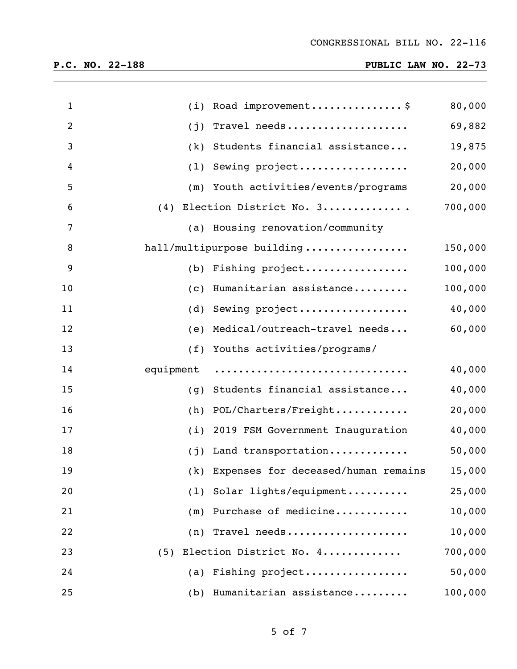| $\mathbf{1}$   | (i)       | Road improvement\$                      | 80,000  |
|----------------|-----------|-----------------------------------------|---------|
| $\overline{2}$ | (j)       | Travel needs                            | 69,882  |
| 3              | (k)       | Students financial assistance           | 19,875  |
| 4              | (1)       | Sewing project                          | 20,000  |
| 5              |           | (m) Youth activities/events/programs    | 20,000  |
| 6              | (4)       | Election District No. 3                 | 700,000 |
| 7              |           | (a) Housing renovation/community        |         |
| 8              |           | hall/multipurpose building              | 150,000 |
| 9              |           | (b) Fishing project                     | 100,000 |
| 10             | (C)       | Humanitarian assistance                 | 100,000 |
| 11             | (d)       | Sewing project                          | 40,000  |
| 12             | (e)       | Medical/outreach-travel needs           | 60,000  |
| 13             | (f)       | Youths activities/programs/             |         |
| 14             | equipment |                                         | 40,000  |
| 15             | (g)       | Students financial assistance           | 40,000  |
| 16             | (h)       | POL/Charters/Freight                    | 20,000  |
| 17             | (i)       | 2019 FSM Government Inauguration        | 40,000  |
| 18             | (j)       | Land transportation                     | 50,000  |
| 19             |           | (k) Expenses for deceased/human remains | 15,000  |
| 20             | (1)       | Solar lights/equipment                  | 25,000  |
| 21             | (m)       | Purchase of medicine                    | 10,000  |
| 22             |           | $(n)$ Travel needs                      | 10,000  |
| 23             | (5)       | Election District No. 4                 | 700,000 |
| 24             |           | (a) Fishing project                     | 50,000  |
| 25             |           | (b) Humanitarian assistance             | 100,000 |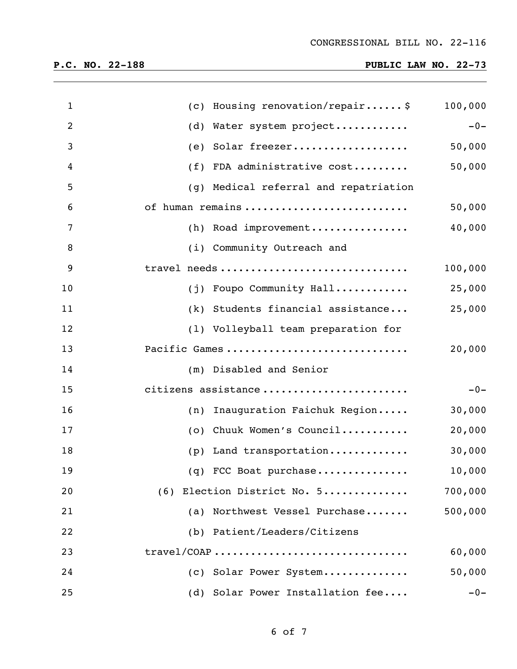| $\mathbf{1}$   | (c) Housing renovation/repair \$      | 100,000 |
|----------------|---------------------------------------|---------|
| $\overline{2}$ | Water system project<br>(d)           | $-0-$   |
| 3              | Solar freezer<br>(e)                  | 50,000  |
| 4              | (f) FDA administrative cost           | 50,000  |
| 5              | (g) Medical referral and repatriation |         |
| 6              | of human remains                      | 50,000  |
| $\overline{7}$ | (h) Road improvement                  | 40,000  |
| 8              | (i) Community Outreach and            |         |
| 9              | travel needs                          | 100,000 |
| 10             | (j) Foupo Community Hall              | 25,000  |
| 11             | (k) Students financial assistance     | 25,000  |
| 12             | (1) Volleyball team preparation for   |         |
| 13             | Pacific Games                         | 20,000  |
| 14             | (m) Disabled and Senior               |         |
| 15             | citizens assistance                   | $-0-$   |
| 16             | Inauguration Faichuk Region<br>(n)    | 30,000  |
| 17             | Chuuk Women's Council<br>(0)          | 20,000  |
| 18             | (p) Land transportation               | 30,000  |
| 19             | $(q)$ FCC Boat purchase               | 10,000  |
| 20             | (6) Election District No. 5           | 700,000 |
| 21             | Northwest Vessel Purchase<br>(a)      | 500,000 |
| 22             | (b) Patient/Leaders/Citizens          |         |
| 23             | travel/COAP                           | 60,000  |
| 24             | (c) Solar Power System                | 50,000  |
| 25             | (d) Solar Power Installation fee      | $-0-$   |